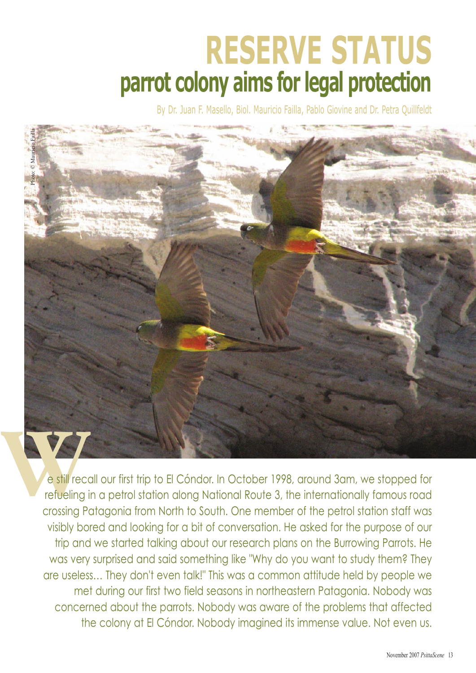## **RESERVE STATUS parrot colony aims for legal protection**

By Dr. Juan F. Masello, Biol. Mauricio Failla, Pablo Giovine and Dr. Petra Quillfeldt



refueling in a petrol station along National Route 3, the internationally famous road crossing Patagonia from North to South. One member of the petrol station staff was visibly bored and looking for a bit of conversation. He asked for the purpose of our trip and we started talking about our research plans on the Burrowing Parrots. He was very surprised and said something like "Why do you want to study them? They are useless… They don't even talk!" This was a common attitude held by people we met during our first two field seasons in northeastern Patagonia. Nobody was concerned about the parrots. Nobody was aware of the problems that affected the colony at El Cóndor. Nobody imagined its immense value. Not even us.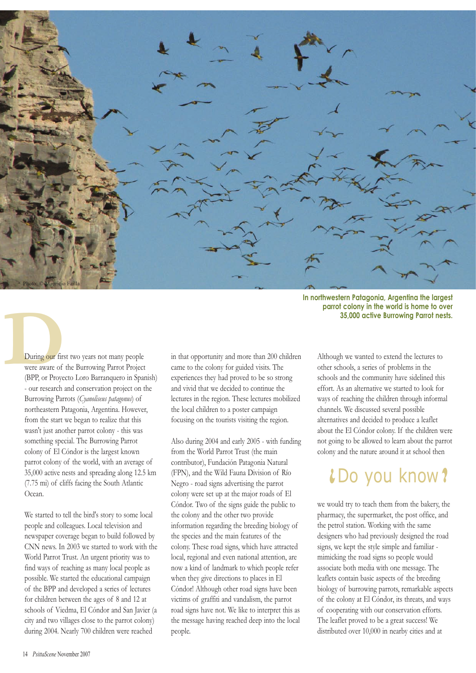

**In northwestern Patagonia, Argentina the largest parrot colony in the world is home to over 35,000 active Burrowing Parrot nests.** 

**During our first two years not many people<br>were aware of the Burrowing Parrot Projec<br>(BPP, or Proyecto Loro Barranquero in Spa** were aware of the Burrowing Parrot Project (BPP, or Proyecto Loro Barranquero in Spanish) - our research and conservation project on the Burrowing Parrots (*Cyanoliseus patagonus*) of northeastern Patagonia, Argentina. However, from the start we began to realize that this wasn't just another parrot colony - this was something special. The Burrowing Parrot colony of El Cóndor is the largest known parrot colony of the world, with an average of 35,000 active nests and spreading along 12.5 km (7.75 mi) of cliffs facing the South Atlantic Ocean.

> We started to tell the bird's story to some local people and colleagues. Local television and newspaper coverage began to build followed by CNN news. In 2003 we started to work with the World Parrot Trust. An urgent priority was to find ways of reaching as many local people as possible. We started the educational campaign of the BPP and developed a series of lectures for children between the ages of 8 and 12 at schools of Viedma, El Cóndor and San Javier (a city and two villages close to the parrot colony) during 2004. Nearly 700 children were reached

in that opportunity and more than 200 children came to the colony for guided visits. The experiences they had proved to be so strong and vivid that we decided to continue the lectures in the region. These lectures mobilized the local children to a poster campaign focusing on the tourists visiting the region.

Also during 2004 and early 2005 - with funding from the World Parrot Trust (the main contributor), Fundación Patagonia Natural (FPN), and the Wild Fauna Division of Río Negro - road signs advertising the parrot colony were set up at the major roads of El Cóndor. Two of the signs guide the public to the colony and the other two provide information regarding the breeding biology of the species and the main features of the colony. These road signs, which have attracted local, regional and even national attention, are now a kind of landmark to which people refer when they give directions to places in El Cóndor! Although other road signs have been victims of graffiti and vandalism, the parrot road signs have not. We like to interpret this as the message having reached deep into the local people.

Although we wanted to extend the lectures to other schools, a series of problems in the schools and the community have sidelined this effort. As an alternative we started to look for ways of reaching the children through informal channels. We discussed several possible alternatives and decided to produce a leaflet about the El Cóndor colony. If the children were not going to be allowed to learn about the parrot colony and the nature around it at school then

## $LDo$  you know?

we would try to teach them from the bakery, the pharmacy, the supermarket, the post office, and the petrol station. Working with the same designers who had previously designed the road signs, we kept the style simple and familiar mimicking the road signs so people would associate both media with one message. The leaflets contain basic aspects of the breeding biology of burrowing parrots, remarkable aspects of the colony at El Cóndor, its threats, and ways of cooperating with our conservation efforts. The leaflet proved to be a great success! We distributed over 10,000 in nearby cities and at